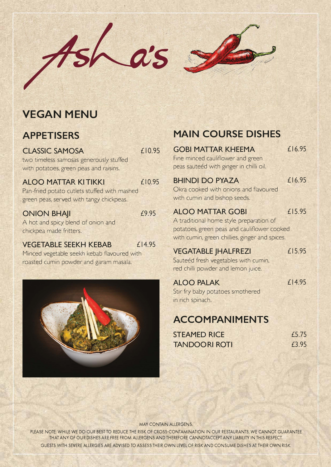

### **VEGAN MENU**

### **APPETISERS**

### **CLASSIC SAMOSA**

£10.95

£10.95

£9.95

two timeless samosas generously stuffed with potatoes, green peas and raisins.

### **ALOO MATTAR KITIKKI**

Pan-fried potato cutlets stuffed with mashed green peas, served with tangy chickpeas.

#### **ONION BHAJI**

A hot and spicy blend of onion and chickpea made fritters.

#### **VEGETABLE SEEKH KEBAB** £14.95

Minced vegetable seekh kebab flavoured with roasted cumin powder and garam masala.



## **MAIN COURSE DISHES**

| <b>GOBI MATTAR KHEEMA</b>                      | £16.95    |
|------------------------------------------------|-----------|
| Fine minced cauliflower and green              |           |
| peas sauteéd with ginger in chilli oil.        |           |
| <b>BHINDI DO PYAZA</b>                         | £16.95    |
| Okra cooked with onions and flavoured          |           |
| with cumin and bishop seeds.                   |           |
| <b>ALOO MATTAR GOBI</b>                        | £15.95    |
| A traditional home style preparation of        |           |
| potatoes, green peas and cauliflower cooked    |           |
| with cumin, green chillies, ginger and spices. |           |
| <b>VEGATABLE  HALFREZI</b>                     | £15.95    |
| Sauteéd fresh vegetables with cumin,           |           |
| red chilli powder and lemon juice.             |           |
| <b>ALOO PALAK</b>                              | $£$  4.95 |

**ALOO PALAK**  Stir fry baby potatoes smothered in rich spinach.

# **ACCOMPANIMENTS**

| <b>STEAMED RICE</b>  | f5.75 |
|----------------------|-------|
| <b>TANDOORI ROTI</b> | £3.95 |

MAY CONTAIN ALLERGENS.

PLEASE NOTE: WHILE WE DO OUR BEST TO REDUCE THE RISK OF CROSS-CONTAMINATION IN OUR RESTAURANTS, WE CANNOT GUARANTEE THAT ANY OF OUR DISHES ARE FREE FROM ALLERGENS AND THEREFORE CANNOTACCEPT ANY LIABILITY IN THIS RESPECT. GUESTS WITH SEVERE ALLERGIES ARE ADVISED TO ASSESS THEIR OWN LEVEL OF RISK AND CONSUME DISHES AT THEIR OWN RISK.